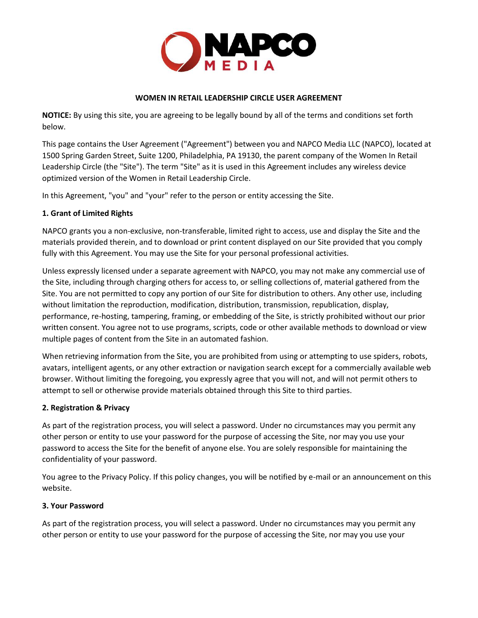

#### **WOMEN IN RETAIL LEADERSHIP CIRCLE USER AGREEMENT**

**NOTICE:** By using this site, you are agreeing to be legally bound by all of the terms and conditions set forth below.

This page contains the User Agreement ("Agreement") between you and NAPCO Media LLC (NAPCO), located at 1500 Spring Garden Street, Suite 1200, Philadelphia, PA 19130, the parent company of the Women In Retail Leadership Circle (the "Site"). The term "Site" as it is used in this Agreement includes any wireless device optimized version of the Women in Retail Leadership Circle.

In this Agreement, "you" and "your" refer to the person or entity accessing the Site.

## **1. Grant of Limited Rights**

NAPCO grants you a non-exclusive, non-transferable, limited right to access, use and display the Site and the materials provided therein, and to download or print content displayed on our Site provided that you comply fully with this Agreement. You may use the Site for your personal professional activities.

Unless expressly licensed under a separate agreement with NAPCO, you may not make any commercial use of the Site, including through charging others for access to, or selling collections of, material gathered from the Site. You are not permitted to copy any portion of our Site for distribution to others. Any other use, including without limitation the reproduction, modification, distribution, transmission, republication, display, performance, re-hosting, tampering, framing, or embedding of the Site, is strictly prohibited without our prior written consent. You agree not to use programs, scripts, code or other available methods to download or view multiple pages of content from the Site in an automated fashion.

When retrieving information from the Site, you are prohibited from using or attempting to use spiders, robots, avatars, intelligent agents, or any other extraction or navigation search except for a commercially available web browser. Without limiting the foregoing, you expressly agree that you will not, and will not permit others to attempt to sell or otherwise provide materials obtained through this Site to third parties.

#### **2. Registration & Privacy**

As part of the registration process, you will select a password. Under no circumstances may you permit any other person or entity to use your password for the purpose of accessing the Site, nor may you use your password to access the Site for the benefit of anyone else. You are solely responsible for maintaining the confidentiality of your password.

You agree to the Privacy Policy. If this policy changes, you will be notified by e-mail or an announcement on this website.

#### **3. Your Password**

As part of the registration process, you will select a password. Under no circumstances may you permit any other person or entity to use your password for the purpose of accessing the Site, nor may you use your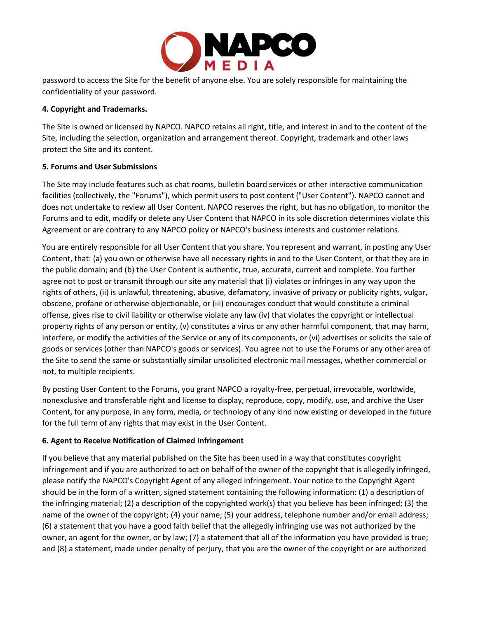

password to access the Site for the benefit of anyone else. You are solely responsible for maintaining the confidentiality of your password.

## **4. Copyright and Trademarks.**

The Site is owned or licensed by NAPCO. NAPCO retains all right, title, and interest in and to the content of the Site, including the selection, organization and arrangement thereof. Copyright, trademark and other laws protect the Site and its content.

## **5. Forums and User Submissions**

The Site may include features such as chat rooms, bulletin board services or other interactive communication facilities (collectively, the "Forums"), which permit users to post content ("User Content"). NAPCO cannot and does not undertake to review all User Content. NAPCO reserves the right, but has no obligation, to monitor the Forums and to edit, modify or delete any User Content that NAPCO in its sole discretion determines violate this Agreement or are contrary to any NAPCO policy or NAPCO's business interests and customer relations.

You are entirely responsible for all User Content that you share. You represent and warrant, in posting any User Content, that: (a) you own or otherwise have all necessary rights in and to the User Content, or that they are in the public domain; and (b) the User Content is authentic, true, accurate, current and complete. You further agree not to post or transmit through our site any material that (i) violates or infringes in any way upon the rights of others, (ii) is unlawful, threatening, abusive, defamatory, invasive of privacy or publicity rights, vulgar, obscene, profane or otherwise objectionable, or (iii) encourages conduct that would constitute a criminal offense, gives rise to civil liability or otherwise violate any law (iv) that violates the copyright or intellectual property rights of any person or entity, (v) constitutes a virus or any other harmful component, that may harm, interfere, or modify the activities of the Service or any of its components, or (vi) advertises or solicits the sale of goods or services (other than NAPCO's goods or services). You agree not to use the Forums or any other area of the Site to send the same or substantially similar unsolicited electronic mail messages, whether commercial or not, to multiple recipients.

By posting User Content to the Forums, you grant NAPCO a royalty-free, perpetual, irrevocable, worldwide, nonexclusive and transferable right and license to display, reproduce, copy, modify, use, and archive the User Content, for any purpose, in any form, media, or technology of any kind now existing or developed in the future for the full term of any rights that may exist in the User Content.

## **6. Agent to Receive Notification of Claimed Infringement**

If you believe that any material published on the Site has been used in a way that constitutes copyright infringement and if you are authorized to act on behalf of the owner of the copyright that is allegedly infringed, please notify the NAPCO's Copyright Agent of any alleged infringement. Your notice to the Copyright Agent should be in the form of a written, signed statement containing the following information: (1) a description of the infringing material; (2) a description of the copyrighted work(s) that you believe has been infringed; (3) the name of the owner of the copyright; (4) your name; (5) your address, telephone number and/or email address; (6) a statement that you have a good faith belief that the allegedly infringing use was not authorized by the owner, an agent for the owner, or by law; (7) a statement that all of the information you have provided is true; and (8) a statement, made under penalty of perjury, that you are the owner of the copyright or are authorized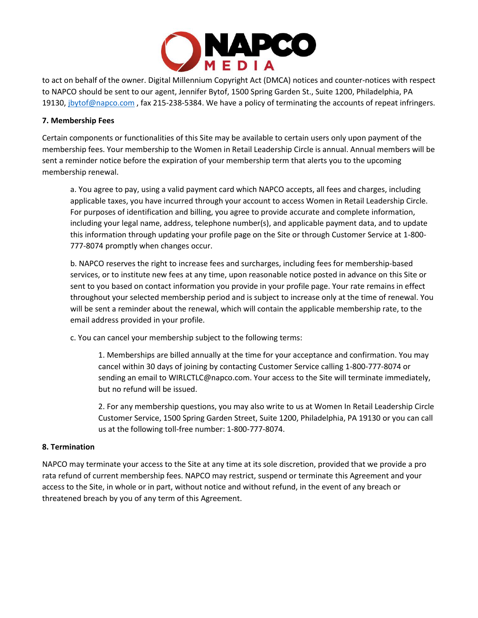

to act on behalf of the owner. Digital Millennium Copyright Act (DMCA) notices and counter-notices with respect to NAPCO should be sent to our agent, Jennifer Bytof, 1500 Spring Garden St., Suite 1200, Philadelphia, PA 19130, [jbytof@napco.com](mailto:jbytof@napco.com), fax 215-238-5384. We have a policy of terminating the accounts of repeat infringers.

#### **7. Membership Fees**

Certain components or functionalities of this Site may be available to certain users only upon payment of the membership fees. Your membership to the Women in Retail Leadership Circle is annual. Annual members will be sent a reminder notice before the expiration of your membership term that alerts you to the upcoming membership renewal.

a. You agree to pay, using a valid payment card which NAPCO accepts, all fees and charges, including applicable taxes, you have incurred through your account to access Women in Retail Leadership Circle. For purposes of identification and billing, you agree to provide accurate and complete information, including your legal name, address, telephone number(s), and applicable payment data, and to update this information through updating your profile page on the Site or through Customer Service at 1-800- 777-8074 promptly when changes occur.

b. NAPCO reserves the right to increase fees and surcharges, including fees for membership-based services, or to institute new fees at any time, upon reasonable notice posted in advance on this Site or sent to you based on contact information you provide in your profile page. Your rate remains in effect throughout your selected membership period and is subject to increase only at the time of renewal. You will be sent a reminder about the renewal, which will contain the applicable membership rate, to the email address provided in your profile.

c. You can cancel your membership subject to the following terms:

1. Memberships are billed annually at the time for your acceptance and confirmation. You may cancel within 30 days of joining by contacting Customer Service calling 1-800-777-8074 or sending an email to WIRLCTLC@napco.com. Your access to the Site will terminate immediately, but no refund will be issued.

2. For any membership questions, you may also write to us at Women In Retail Leadership Circle Customer Service, 1500 Spring Garden Street, Suite 1200, Philadelphia, PA 19130 or you can call us at the following toll-free number: 1-800-777-8074.

#### **8. Termination**

NAPCO may terminate your access to the Site at any time at its sole discretion, provided that we provide a pro rata refund of current membership fees. NAPCO may restrict, suspend or terminate this Agreement and your access to the Site, in whole or in part, without notice and without refund, in the event of any breach or threatened breach by you of any term of this Agreement.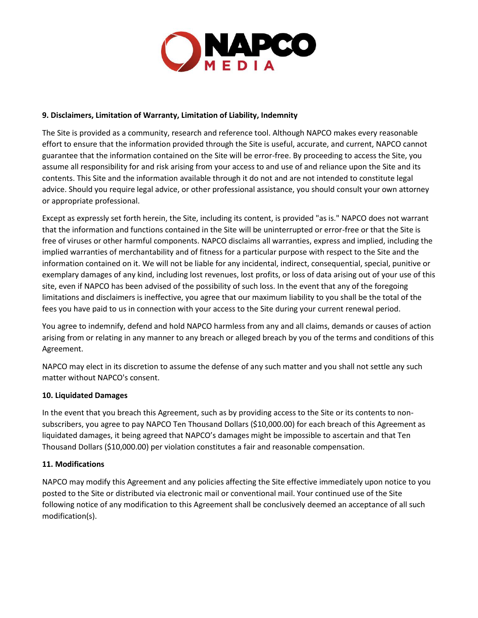

## **9. Disclaimers, Limitation of Warranty, Limitation of Liability, Indemnity**

The Site is provided as a community, research and reference tool. Although NAPCO makes every reasonable effort to ensure that the information provided through the Site is useful, accurate, and current, NAPCO cannot guarantee that the information contained on the Site will be error-free. By proceeding to access the Site, you assume all responsibility for and risk arising from your access to and use of and reliance upon the Site and its contents. This Site and the information available through it do not and are not intended to constitute legal advice. Should you require legal advice, or other professional assistance, you should consult your own attorney or appropriate professional.

Except as expressly set forth herein, the Site, including its content, is provided "as is." NAPCO does not warrant that the information and functions contained in the Site will be uninterrupted or error-free or that the Site is free of viruses or other harmful components. NAPCO disclaims all warranties, express and implied, including the implied warranties of merchantability and of fitness for a particular purpose with respect to the Site and the information contained on it. We will not be liable for any incidental, indirect, consequential, special, punitive or exemplary damages of any kind, including lost revenues, lost profits, or loss of data arising out of your use of this site, even if NAPCO has been advised of the possibility of such loss. In the event that any of the foregoing limitations and disclaimers is ineffective, you agree that our maximum liability to you shall be the total of the fees you have paid to us in connection with your access to the Site during your current renewal period.

You agree to indemnify, defend and hold NAPCO harmless from any and all claims, demands or causes of action arising from or relating in any manner to any breach or alleged breach by you of the terms and conditions of this Agreement.

NAPCO may elect in its discretion to assume the defense of any such matter and you shall not settle any such matter without NAPCO's consent.

#### **10. Liquidated Damages**

In the event that you breach this Agreement, such as by providing access to the Site or its contents to nonsubscribers, you agree to pay NAPCO Ten Thousand Dollars (\$10,000.00) for each breach of this Agreement as liquidated damages, it being agreed that NAPCO's damages might be impossible to ascertain and that Ten Thousand Dollars (\$10,000.00) per violation constitutes a fair and reasonable compensation.

# **11. Modifications**

NAPCO may modify this Agreement and any policies affecting the Site effective immediately upon notice to you posted to the Site or distributed via electronic mail or conventional mail. Your continued use of the Site following notice of any modification to this Agreement shall be conclusively deemed an acceptance of all such modification(s).